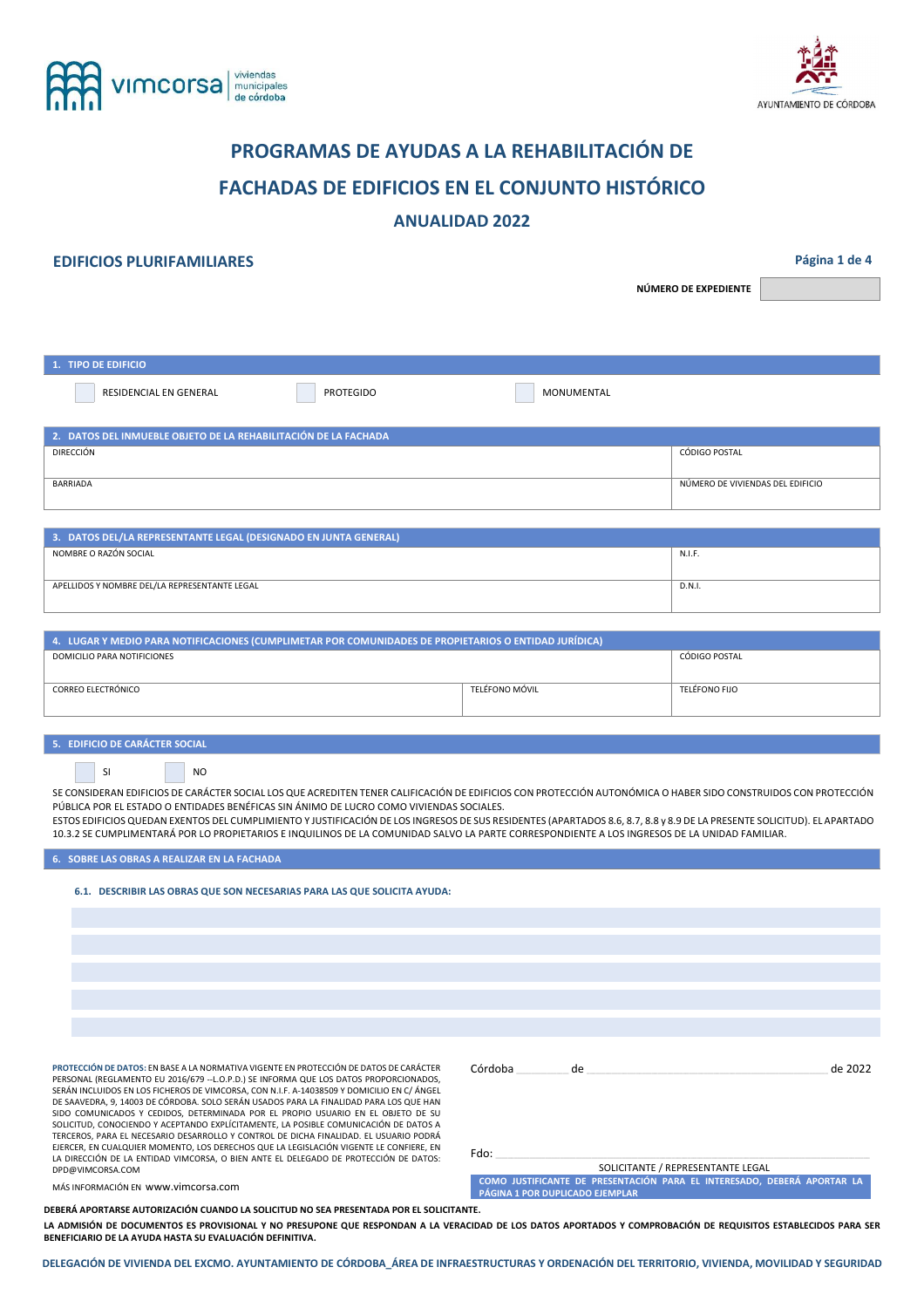



# **PROGRAMAS DE AYUDAS A LA REHABILITACIÓN DE FACHADAS DE EDIFICIOS EN EL CONJUNTO HISTÓRICO**

## **ANUALIDAD 2022**

## **EDIFICIOS PLURIFAMILIARES Página 1 de 4**

**NÚMERO DE EXPEDIENTE** 

| 1. TIPO DE EDIFICIO                                             |           |            |                                  |  |
|-----------------------------------------------------------------|-----------|------------|----------------------------------|--|
| RESIDENCIAL EN GENERAL                                          | PROTEGIDO | MONUMENTAL |                                  |  |
| 2. DATOS DEL INMUEBLE OBJETO DE LA REHABILITACIÓN DE LA FACHADA |           |            |                                  |  |
| DIRECCIÓN                                                       |           |            | CÓDIGO POSTAL                    |  |
|                                                                 |           |            |                                  |  |
| BARRIADA                                                        |           |            | NÚMERO DE VIVIENDAS DEL EDIFICIO |  |
|                                                                 |           |            |                                  |  |

| 3. DATOS DEL/LA REPRESENTANTE LEGAL (DESIGNADO EN JUNTA GENERAL) |        |  |  |
|------------------------------------------------------------------|--------|--|--|
| NOMBRE O RAZÓN SOCIAL                                            | N.I.F. |  |  |
| APELLIDOS Y NOMBRE DEL/LA REPRESENTANTE LEGAL                    | D.N.I. |  |  |

| 4. LUGAR Y MEDIO PARA NOTIFICACIONES (CUMPLIMETAR POR COMUNIDADES DE PROPIETARIOS O ENTIDAD JURÍDICA) |                |               |  |  |
|-------------------------------------------------------------------------------------------------------|----------------|---------------|--|--|
| DOMICILIO PARA NOTIFICIONES                                                                           | CÓDIGO POSTAL  |               |  |  |
| CORREO ELECTRÓNICO                                                                                    | TELÉFONO MÓVIL | TELÉFONO FIJO |  |  |

#### **5. EDIFICIO DE CARÁCTER SOCIAL**

|  | SI |  | NO |
|--|----|--|----|
|--|----|--|----|

SE CONSIDERAN EDIFICIOS DE CARÁCTER SOCIAL LOS QUE ACREDITEN TENER CALIFICACIÓN DE EDIFICIOS CON PROTECCIÓN AUTONÓMICA O HABER SIDO CONSTRUIDOS CON PROTECCIÓN PÚBLICA POR EL ESTADO O ENTIDADES BENÉFICAS SIN ÁNIMO DE LUCRO COMO VIVIENDAS SOCIALES.

ESTOS EDIFICIOS QUEDAN EXENTOS DEL CUMPLIMIENTO Y JUSTIFICACIÓN DE LOS INGRESOS DE SUS RESIDENTES (APARTADOS 8.6, 8.7, 8.8 y 8.9 DE LA PRESENTE SOLICITUD). EL APARTADO 10.3.2 SE CUMPLIMENTARÁ POR LO PROPIETARIOS E INQUILINOS DE LA COMUNIDAD SALVO LA PARTE CORRESPONDIENTE A LOS INGRESOS DE LA UNIDAD FAMILIAR.

**6. SOBRE LAS OBRAS A REALIZAR EN LA FACHADA** 

**6.1. DESCRIBIR LAS OBRAS QUE SON NECESARIAS PARA LAS QUE SOLICITA AYUDA:** 

**PROTECCIÓN DE DATOS:** EN BASE A LA NORMATIVA VIGENTE EN PROTECCIÓN DE DATOS DE CARÁCTER PERSONAL (REGLAMENTO EU 2016/679 --L.O.P.D.) SE INFORMA QUE LOS DATOS PROPORCIONADOS, SERÁN INCLUIDOS EN LOS FICHEROS DE VIMCORSA, CON N.I.F. A-14038509 Y DOMICILIO EN C/ ÁNGEL DE SAAVEDRA, 9, 14003 DE CÓRDOBA. SOLO SERÁN USADOS PARA LA FINALIDAD PARA LOS QUE HAN SIDO COMUNICADOS Y CEDIDOS, DETERMINADA POR EL PROPIO USUARIO EN EL OBJETO DE SU SOLICITUD, CONOCIENDO Y ACEPTANDO EXPLÍCITAMENTE, LA POSIBLE COMUNICACIÓN DE DATOS A TERCEROS, PARA EL NECESARIO DESARROLLO Y CONTROL DE DICHA FINALIDAD. EL USUARIO PODRÁ EJERCER, EN CUALQUIER MOMENTO, LOS DERECHOS QUE LA LEGISLACIÓN VIGENTE LE CONFIERE, EN LA DIRECCIÓN DE LA ENTIDAD VIMCORSA, O BIEN ANTE EL DELEGADO DE PROTECCIÓN DE DATOS: DPD@VIMCORSA.COM

| de 2022 |
|---------|
|         |
|         |
|         |
|         |

Fdo: \_\_\_\_\_\_\_\_\_\_\_\_\_\_\_\_\_\_\_\_\_\_\_\_\_\_\_\_\_\_\_\_\_\_\_\_\_\_\_\_\_\_\_\_\_\_\_\_\_\_\_\_\_\_\_\_\_\_\_\_\_\_\_\_\_\_\_\_\_\_\_\_\_\_\_\_\_\_\_\_\_\_\_\_\_\_\_\_\_\_\_\_\_\_\_\_\_\_\_\_\_\_\_\_\_\_\_\_\_\_\_\_\_\_\_\_\_\_\_\_\_

 SOLICITANTE / REPRESENTANTE LEGAL **COMO JUSTIFICANTE DE PRESENTACIÓN PARA EL INTERESADO, DEBERÁ APORTAR LA PÁGINA 1 POR DUPLICADO EJEMPLAR**

MÁS INFORMACIÓN EN www.vimcorsa.com

**DEBERÁ APORTARSE AUTORIZACIÓN CUANDO LA SOLICITUD NO SEA PRESENTADA POR EL SOLICITANTE.** 

**LA ADMISIÓN DE DOCUMENTOS ES PROVISIONAL Y NO PRESUPONE QUE RESPONDAN A LA VERACIDAD DE LOS DATOS APORTADOS Y COMPROBACIÓN DE REQUISITOS ESTABLECIDOS PARA SER BENEFICIARIO DE LA AYUDA HASTA SU EVALUACIÓN DEFINITIVA.**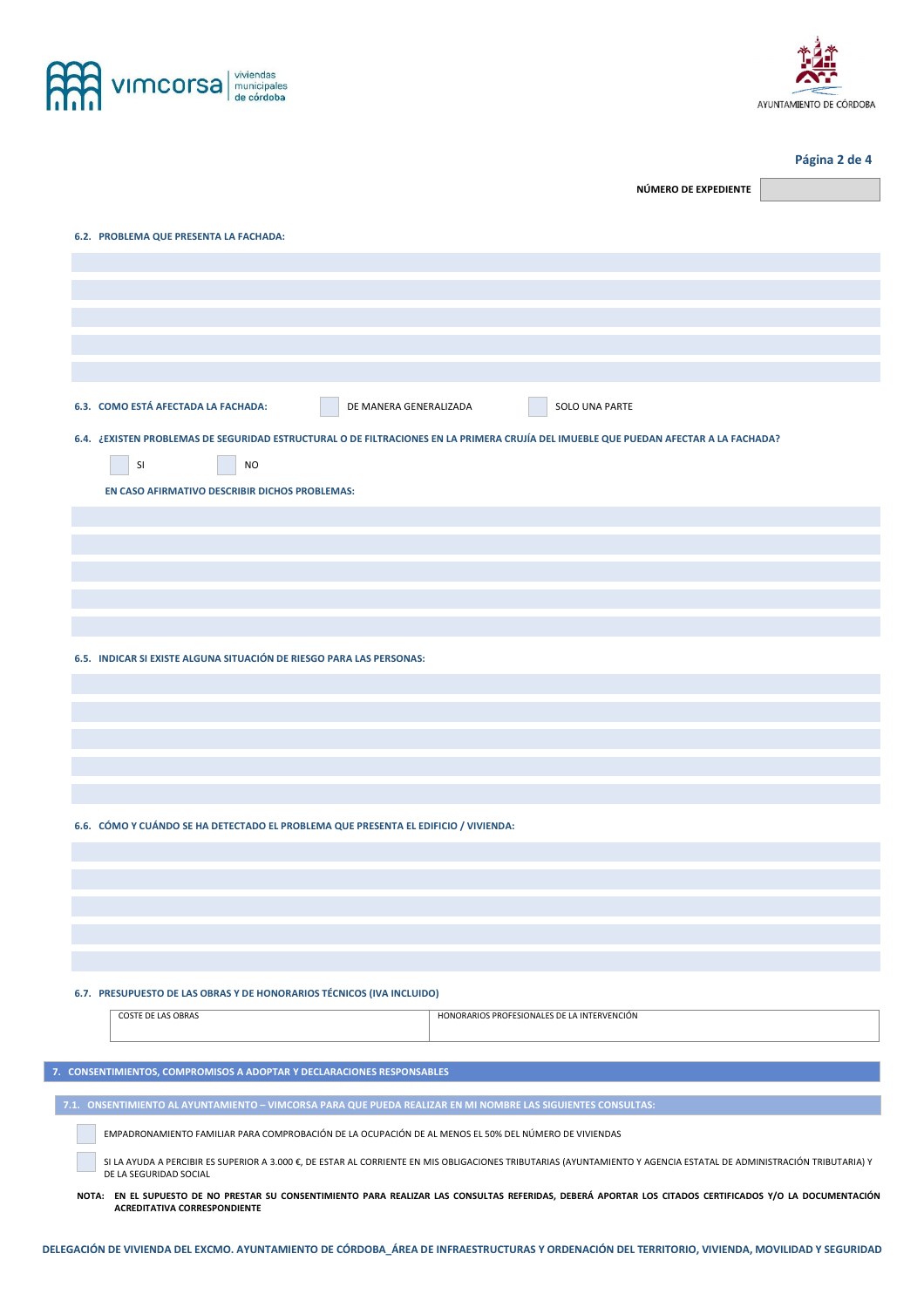

Г



## **Página 2 de 4**

| NÚMERO DE EXPEDIENTE                                                                                                                                                                                                      |  |  |
|---------------------------------------------------------------------------------------------------------------------------------------------------------------------------------------------------------------------------|--|--|
| 6.2. PROBLEMA QUE PRESENTA LA FACHADA:                                                                                                                                                                                    |  |  |
|                                                                                                                                                                                                                           |  |  |
|                                                                                                                                                                                                                           |  |  |
|                                                                                                                                                                                                                           |  |  |
|                                                                                                                                                                                                                           |  |  |
|                                                                                                                                                                                                                           |  |  |
| 6.3. COMO ESTÁ AFECTADA LA FACHADA:<br>DE MANERA GENERALIZADA<br>SOLO UNA PARTE                                                                                                                                           |  |  |
| 6.4. ¿EXISTEN PROBLEMAS DE SEGURIDAD ESTRUCTURAL O DE FILTRACIONES EN LA PRIMERA CRUJÍA DEL IMUEBLE QUE PUEDAN AFECTAR A LA FACHADA?<br>SI<br><b>NO</b><br>EN CASO AFIRMATIVO DESCRIBIR DICHOS PROBLEMAS:                 |  |  |
|                                                                                                                                                                                                                           |  |  |
|                                                                                                                                                                                                                           |  |  |
|                                                                                                                                                                                                                           |  |  |
|                                                                                                                                                                                                                           |  |  |
|                                                                                                                                                                                                                           |  |  |
| 6.5. INDICAR SI EXISTE ALGUNA SITUACIÓN DE RIESGO PARA LAS PERSONAS:                                                                                                                                                      |  |  |
|                                                                                                                                                                                                                           |  |  |
|                                                                                                                                                                                                                           |  |  |
|                                                                                                                                                                                                                           |  |  |
|                                                                                                                                                                                                                           |  |  |
|                                                                                                                                                                                                                           |  |  |
| 6.6. CÓMO Y CUÁNDO SE HA DETECTADO EL PROBLEMA QUE PRESENTA EL EDIFICIO / VIVIENDA:                                                                                                                                       |  |  |
|                                                                                                                                                                                                                           |  |  |
|                                                                                                                                                                                                                           |  |  |
|                                                                                                                                                                                                                           |  |  |
|                                                                                                                                                                                                                           |  |  |
|                                                                                                                                                                                                                           |  |  |
| 6.7. PRESUPUESTO DE LAS OBRAS Y DE HONORARIOS TÉCNICOS (IVA INCLUIDO)                                                                                                                                                     |  |  |
| <b>COSTE DE LAS OBRAS</b><br>HONORARIOS PROFESIONALES DE LA INTERVENCIÓN                                                                                                                                                  |  |  |
|                                                                                                                                                                                                                           |  |  |
| 7. CONSENTIMIENTOS, COMPROMISOS A ADOPTAR Y DECLARACIONES RESPONSABLES                                                                                                                                                    |  |  |
| 7.1. ONSENTIMIENTO AL AYUNTAMIENTO - VIMCORSA PARA QUE PUEDA REALIZAR EN MI NOMBRE LAS SIGUIENTES CONSULTAS:                                                                                                              |  |  |
| EMPADRONAMIENTO FAMILIAR PARA COMPROBACIÓN DE LA OCUPACIÓN DE AL MENOS EL 50% DEL NÚMERO DE VIVIENDAS                                                                                                                     |  |  |
| SI LA AYUDA A PERCIBIR ES SUPERIOR A 3.000 €, DE ESTAR AL CORRIENTE EN MIS OBLIGACIONES TRIBUTARIAS (AYUNTAMIENTO Y AGENCIA ESTATAL DE ADMINISTRACIÓN TRIBUTARIA) Y                                                       |  |  |
| DE LA SEGURIDAD SOCIAL<br>NOTA: EN EL SUPUESTO DE NO PRESTAR SU CONSENTIMIENTO PARA REALIZAR LAS CONSULTAS REFERIDAS, DEBERÁ APORTAR LOS CITADOS CERTIFICADOS Y/O LA DOCUMENTACIÓN<br><b>ACREDITATIVA CORRESPONDIENTE</b> |  |  |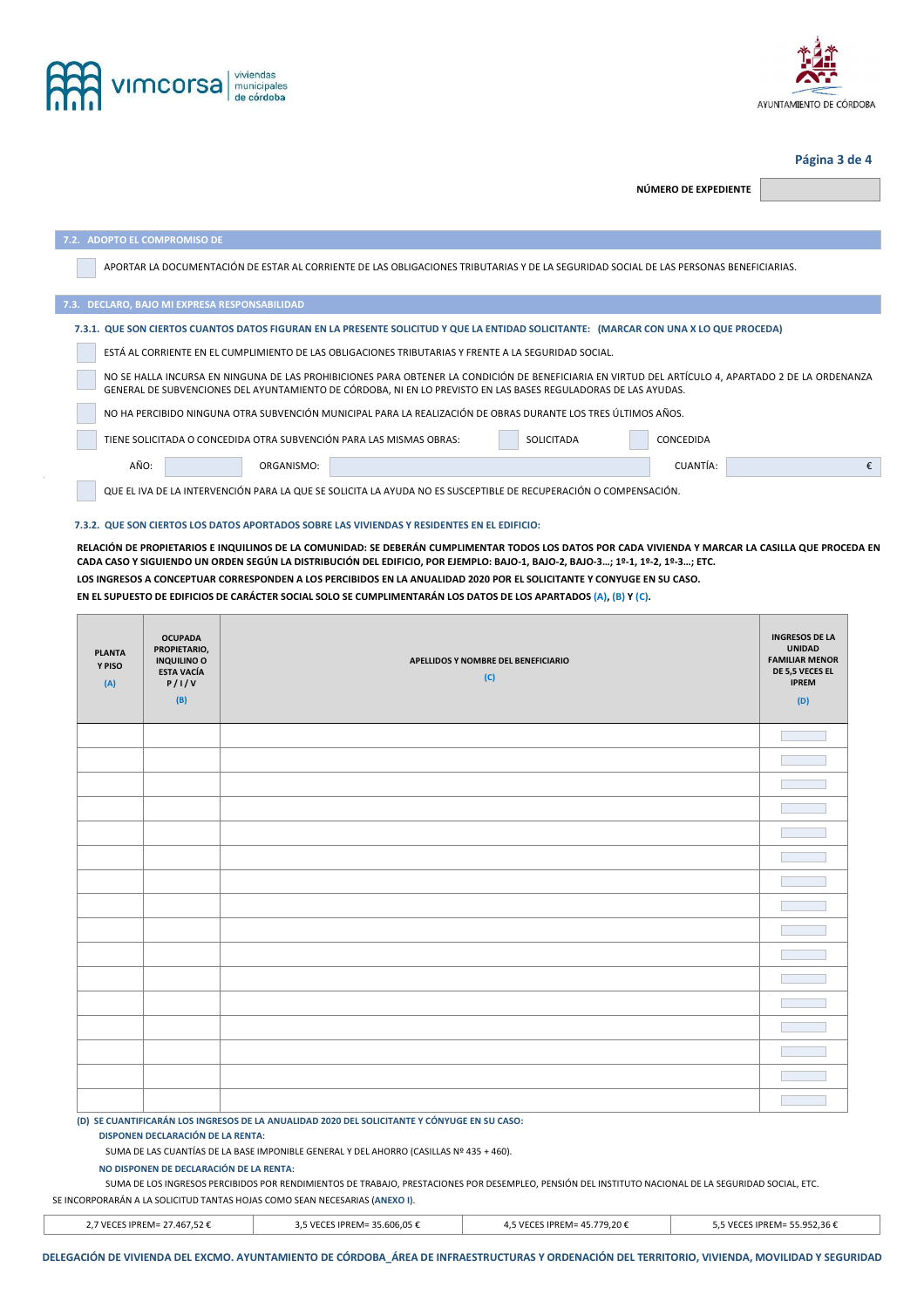



### **Página 3 de 4**

**NÚMERO DE EXPEDIENTE** 

| 7.2. ADOPTO EL COMPROMISO DE                                                                                                                                                                                                                                         |  |  |  |  |
|----------------------------------------------------------------------------------------------------------------------------------------------------------------------------------------------------------------------------------------------------------------------|--|--|--|--|
| APORTAR LA DOCUMENTACIÓN DE ESTAR AL CORRIENTE DE LAS OBLIGACIONES TRIBUTARIAS Y DE LA SEGURIDAD SOCIAL DE LAS PERSONAS BENEFICIARIAS.                                                                                                                               |  |  |  |  |
| 7.3. DECLARO, BAJO MI EXPRESA RESPONSABILIDAD                                                                                                                                                                                                                        |  |  |  |  |
| 7.3.1. QUE SON CIERTOS CUANTOS DATOS FIGURAN EN LA PRESENTE SOLICITUD Y QUE LA ENTIDAD SOLICITANTE: (MARCAR CON UNA X LO QUE PROCEDA)                                                                                                                                |  |  |  |  |
| ESTÁ AL CORRIENTE EN EL CUMPLIMIENTO DE LAS OBLIGACIONES TRIBUTARIAS Y FRENTE A LA SEGURIDAD SOCIAL.                                                                                                                                                                 |  |  |  |  |
| NO SE HALLA INCURSA EN NINGUNA DE LAS PROHIBICIONES PARA OBTENER LA CONDICIÓN DE BENEFICIARIA EN VIRTUD DEL ARTÍCULO 4, APARTADO 2 DE LA ORDENANZA<br>GENERAL DE SUBVENCIONES DEL AYUNTAMIENTO DE CÓRDOBA, NI EN LO PREVISTO EN LAS BASES REGULADORAS DE LAS AYUDAS. |  |  |  |  |
| NO HA PERCIBIDO NINGUNA OTRA SUBVENCIÓN MUNICIPAL PARA LA REALIZACIÓN DE OBRAS DURANTE LOS TRES ÚLTIMOS AÑOS.                                                                                                                                                        |  |  |  |  |
| TIENE SOLICITADA O CONCEDIDA OTRA SUBVENCIÓN PARA LAS MISMAS OBRAS:<br><b>SOLICITADA</b><br>CONCEDIDA                                                                                                                                                                |  |  |  |  |
| AÑO:<br>CUANTÍA:<br>ORGANISMO:                                                                                                                                                                                                                                       |  |  |  |  |

QUE EL IVA DE LA INTERVENCIÓN PARA LA QUE SE SOLICITA LA AYUDA NO ES SUSCEPTIBLE DE RECUPERACIÓN O COMPENSACIÓN.

#### **7.3.2. QUE SON CIERTOS LOS DATOS APORTADOS SOBRE LAS VIVIENDAS Y RESIDENTES EN EL EDIFICIO:**

**RELACIÓN DE PROPIETARIOS E INQUILINOS DE LA COMUNIDAD: SE DEBERÁN CUMPLIMENTAR TODOS LOS DATOS POR CADA VIVIENDA Y MARCAR LA CASILLA QUE PROCEDA EN CADA CASO Y SIGUIENDO UN ORDEN SEGÚN LA DISTRIBUCIÓN DEL EDIFICIO, POR EJEMPLO: BAJO-1, BAJO-2, BAJO-3…; 1º-1, 1º-2, 1º-3…; ETC. LOS INGRESOS A CONCEPTUAR CORRESPONDEN A LOS PERCIBIDOS EN LA ANUALIDAD 2020 POR EL SOLICITANTE Y CONYUGE EN SU CASO.** 

**EN EL SUPUESTO DE EDIFICIOS DE CARÁCTER SOCIAL SOLO SE CUMPLIMENTARÁN LOS DATOS DE LOS APARTADOS (A), (B) Y (C).** 

| <b>PLANTA</b><br>Y PISO<br>(A)                                                                                                                                                                                                                                                                                                                                                                                                         | <b>OCUPADA</b><br>PROPIETARIO,<br><b>INQUILINO O</b><br><b>ESTA VACÍA</b><br>P/I/V<br>(B) | APELLIDOS Y NOMBRE DEL BENEFICIARIO<br>(C) | <b>INGRESOS DE LA</b><br><b>UNIDAD</b><br><b>FAMILIAR MENOR</b><br>DE 5,5 VECES EL<br><b>IPREM</b><br>(D) |
|----------------------------------------------------------------------------------------------------------------------------------------------------------------------------------------------------------------------------------------------------------------------------------------------------------------------------------------------------------------------------------------------------------------------------------------|-------------------------------------------------------------------------------------------|--------------------------------------------|-----------------------------------------------------------------------------------------------------------|
|                                                                                                                                                                                                                                                                                                                                                                                                                                        |                                                                                           |                                            |                                                                                                           |
|                                                                                                                                                                                                                                                                                                                                                                                                                                        |                                                                                           |                                            |                                                                                                           |
|                                                                                                                                                                                                                                                                                                                                                                                                                                        |                                                                                           |                                            |                                                                                                           |
|                                                                                                                                                                                                                                                                                                                                                                                                                                        |                                                                                           |                                            |                                                                                                           |
|                                                                                                                                                                                                                                                                                                                                                                                                                                        |                                                                                           |                                            |                                                                                                           |
|                                                                                                                                                                                                                                                                                                                                                                                                                                        |                                                                                           |                                            |                                                                                                           |
|                                                                                                                                                                                                                                                                                                                                                                                                                                        |                                                                                           |                                            |                                                                                                           |
|                                                                                                                                                                                                                                                                                                                                                                                                                                        |                                                                                           |                                            |                                                                                                           |
|                                                                                                                                                                                                                                                                                                                                                                                                                                        |                                                                                           |                                            |                                                                                                           |
|                                                                                                                                                                                                                                                                                                                                                                                                                                        |                                                                                           |                                            |                                                                                                           |
|                                                                                                                                                                                                                                                                                                                                                                                                                                        |                                                                                           |                                            |                                                                                                           |
|                                                                                                                                                                                                                                                                                                                                                                                                                                        |                                                                                           |                                            |                                                                                                           |
|                                                                                                                                                                                                                                                                                                                                                                                                                                        |                                                                                           |                                            |                                                                                                           |
|                                                                                                                                                                                                                                                                                                                                                                                                                                        |                                                                                           |                                            |                                                                                                           |
|                                                                                                                                                                                                                                                                                                                                                                                                                                        |                                                                                           |                                            |                                                                                                           |
|                                                                                                                                                                                                                                                                                                                                                                                                                                        |                                                                                           |                                            |                                                                                                           |
| (D) SE CUANTIFICARÁN LOS INGRESOS DE LA ANUALIDAD 2020 DEL SOLICITANTE Y CÓNYUGE EN SU CASO:<br><b>DISPONEN DECLARACIÓN DE LA RENTA:</b><br>SUMA DE LAS CUANTÍAS DE LA BASE IMPONIBLE GENERAL Y DEL AHORRO (CASILLAS Nº 435 + 460).<br>NO DISPONEN DE DECLARACIÓN DE LA RENTA:<br>SUMA DE LOS INCRESOS RERCIBIDOS ROR RENDIMIENTOS DE TRARAJO, RRESTACIONES ROR DESEMBLEO, RENSIÓN DEL INSTITUTO NACIONAL DE LA SECURIDAD SOCIAL, ETC. |                                                                                           |                                            |                                                                                                           |

SUMA DE LOS INGRESOS PERCIBIDOS POR RENDIMIENTOS DE TRABAJO, PRESTACIONES POR DESEMPLEO, PENSIÓN DEL INSTITUTO NACIONAL DE LA SEGURIDAD SOCIAL, ETC. SE INCORPORARÁN A LA SOLICITUD TANTAS HOJAS COMO SEAN NECESARIAS (**ANEXO I**).

| 2.7 VECES IPREM= 27.467.52 € | 3.5 VECES IPREM= 35.606.05 € | 5 VECES IPREM= 45.779.20 € | 5,5 VECES IPREM= 55.952,36 € |
|------------------------------|------------------------------|----------------------------|------------------------------|
|                              |                              |                            |                              |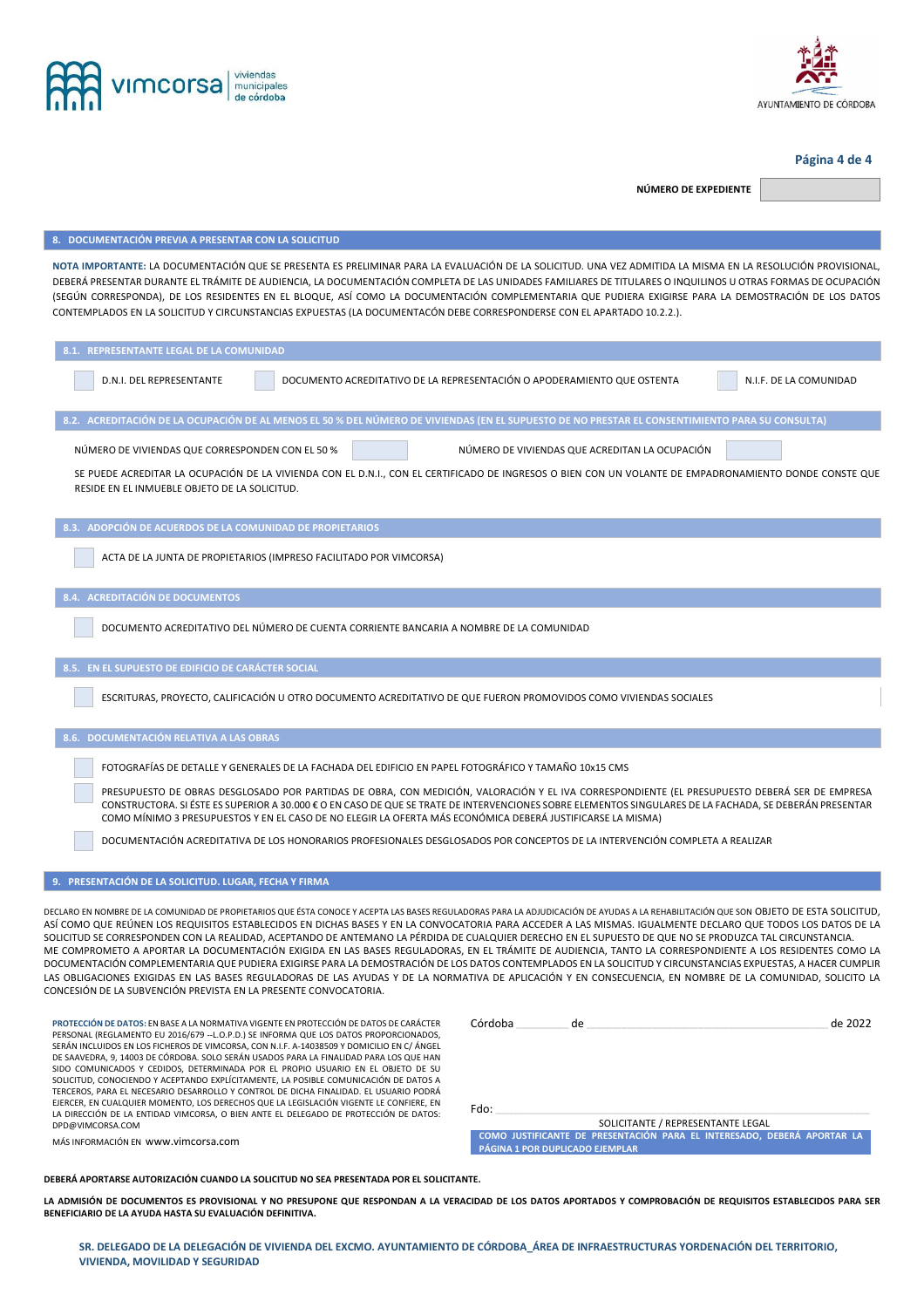



#### **Página 4 de 4**

**NÚMERO DE EXPEDIENTE** 

**8. DOCUMENTACIÓN PREVIA A PRESENTAR CON LA SOLICITUD NOTA IMPORTANTE:** LA DOCUMENTACIÓN QUE SE PRESENTA ES PRELIMINAR PARA LA EVALUACIÓN DE LA SOLICITUD. UNA VEZ ADMITIDA LA MISMA EN LA RESOLUCIÓN PROVISIONAL, DEBERÁ PRESENTAR DURANTE EL TRÁMITE DE AUDIENCIA, LA DOCUMENTACIÓN COMPLETA DE LAS UNIDADES FAMILIARES DE TITULARES O INQUILINOS U OTRAS FORMAS DE OCUPACIÓN (SEGÚN CORRESPONDA), DE LOS RESIDENTES EN EL BLOQUE, ASÍ COMO LA DOCUMENTACIÓN COMPLEMENTARIA QUE PUDIERA EXIGIRSE PARA LA DEMOSTRACIÓN DE LOS DATOS CONTEMPLADOS EN LA SOLICITUD Y CIRCUNSTANCIAS EXPUESTAS (LA DOCUMENTACÓN DEBE CORRESPONDERSE CON EL APARTADO 10.2.2.). **8.1. REPRESENTANTE LEGAL DE LA COMUNIDAD**  D.N.I. DEL REPRESENTANTE DOCUMENTO ACREDITATIVO DE LA REPRESENTACIÓN O APODERAMIENTO QUE OSTENTA N.I.F. DE LA COMUNIDAD **8.2. ACREDITACIÓN DE LA OCUPACIÓN DE AL MENOS EL 50 % DEL NÚMERO DE VIVIENDAS (EN EL SUPUESTO DE NO PRESTAR EL CONSENTIMIENTO PARA SU CONSULTA)**  NÚMERO DE VIVIENDAS QUE CORRESPONDEN CON EL 50 % NÚMERO DE VIVIENDAS QUE ACREDITAN LA OCUPACIÓN SE PUEDE ACREDITAR LA OCUPACIÓN DE LA VIVIENDA CON EL D.N.I., CON EL CERTIFICADO DE INGRESOS O BIEN CON UN VOLANTE DE EMPADRONAMIENTO DONDE CONSTE QUE RESIDE EN EL INMUEBLE OBJETO DE LA SOLICITUD. **8.3. ADOPCIÓN DE ACUERDOS DE LA COMUNIDAD DE PROPIETARIOS**  ACTA DE LA JUNTA DE PROPIETARIOS (IMPRESO FACILITADO POR VIMCORSA) **8.4. ACREDITACIÓN DE DOCUMENTOS**  DOCUMENTO ACREDITATIVO DEL NÚMERO DE CUENTA CORRIENTE BANCARIA A NOMBRE DE LA COMUNIDAD **8.5. EN EL SUPUESTO DE EDIFICIO DE CARÁCTER SOCIAL**  ESCRITURAS, PROYECTO, CALIFICACIÓN U OTRO DOCUMENTO ACREDITATIVO DE QUE FUERON PROMOVIDOS COMO VIVIENDAS SOCIALES **8.6. DOCUMENTACIÓN RELATIVA A LAS OBRAS**  FOTOGRAFÍAS DE DETALLE Y GENERALES DE LA FACHADA DEL EDIFICIO EN PAPEL FOTOGRÁFICO Y TAMAÑO 10x15 CMS PRESUPUESTO DE OBRAS DESGLOSADO POR PARTIDAS DE OBRA, CON MEDICIÓN, VALORACIÓN Y EL IVA CORRESPONDIENTE (EL PRESUPUESTO DEBERÁ SER DE EMPRESA CONSTRUCTORA. SI ÉSTE ES SUPERIOR A 30.000 € O EN CASO DE QUE SE TRATE DE INTERVENCIONES SOBRE ELEMENTOS SINGULARES DE LA FACHADA, SE DEBERÁN PRESENTAR COMO MÍNIMO 3 PRESUPUESTOS Y EN EL CASO DE NO ELEGIR LA OFERTA MÁS ECONÓMICA DEBERÁ JUSTIFICARSE LA MISMA) DOCUMENTACIÓN ACREDITATIVA DE LOS HONORARIOS PROFESIONALES DESGLOSADOS POR CONCEPTOS DE LA INTERVENCIÓN COMPLETA A REALIZAR **9. PRESENTACIÓN DE LA SOLICITUD. LUGAR, FECHA Y FIRMA**  DECLARO EN NOMBRE DE LA COMUNIDAD DE PROPIETARIOS QUE ÉSTA CONOCE Y ACEPTA LAS BASES REGULADORAS PARA LA ADJUDICACIÓN DE AYUDAS A LA REHABILITACIÓN QUE SON OBJETO DE ESTA SOLICITUD, ASÍ COMO QUE REÚNEN LOS REQUISITOS ESTABLECIDOS EN DICHAS BASES Y EN LA CONVOCATORIA PARA ACCEDER A LAS MISMAS. IGUALMENTE DECLARO QUE TODOS LOS DATOS DE LA SOLICITUD SE CORRESPONDEN CON LA REALIDAD, ACEPTANDO DE ANTEMANO LA PÉRDIDA DE CUALQUIER DERECHO EN EL SUPUESTO DE QUE NO SE PRODUZCA TAL CIRCUNSTANCIA. ME COMPROMETO A APORTAR LA DOCUMENTACIÓN EXIGIDA EN LAS BASES REGULADORAS, EN EL TRÁMITE DE AUDIENCIA, TANTO LA CORRESPONDIENTE A LOS RESIDENTES COMO LA DOCUMENTACIÓN COMPLEMENTARIA QUE PUDIERA EXIGIRSE PARA LA DEMOSTRACIÓN DE LOS DATOS CONTEMPLADOS EN LA SOLICITUD Y CIRCUNSTANCIAS EXPUESTAS, A HACER CUMPLIR LAS OBLIGACIONES EXIGIDAS EN LAS BASES REGULADORAS DE LAS AYUDAS Y DE LA NORMATIVA DE APLICACIÓN Y EN CONSECUENCIA, EN NOMBRE DE LA COMUNIDAD, SOLICITO LA CONCESIÓN DE LA SUBVENCIÓN PREVISTA EN LA PRESENTE CONVOCATORIA. **PROTECCIÓN DE DATOS:** EN BASE A LA NORMATIVA VIGENTE EN PROTECCIÓN DE DATOS DE CARÁCTER PERSONAL (REGLAMENTO EU 2016/679 --L.O.P.D.) SE INFORMA QUE LOS DATOS PROPORCIONADOS, SERÁN INCLUIDOS EN LOS FICHEROS DE VIMCORSA, CON N.I.F. A-14038509 Y DOMICILIO EN C/ ÁNGEL DE SAAVEDRA, 9, 14003 DE CÓRDOBA. SOLO SERÁN USADOS PARA LA FINALIDAD PARA LOS QUE HAN SIDO COMUNICADOS Y CEDIDOS, DETERMINADA POR EL PROPIO USUARIO EN EL OBJETO DE SU SOLICITUD, CONOCIENDO Y ACEPTANDO EXPLÍCITAMENTE, LA POSIBLE COMUNICACIÓN DE DATOS A TERCEROS, PARA EL NECESARIO DESARROLLO Y CONTROL DE DICHA FINALIDAD. EL USUARIO PODRÁ EJERCER, EN CUALQUIER MOMENTO, LOS DERECHOS QUE LA LEGISLACIÓN VIGENTE LE CONFIERE, EN LA DIRECCIÓN DE LA ENTIDAD VIMCORSA, O BIEN ANTE EL DELEGADO DE PROTECCIÓN DE DATOS: DPD@VIMCORSA.COM MÁS INFORMACIÓN EN www.vimcorsa.com Córdoba \_\_\_\_\_\_\_\_\_\_\_\_\_\_\_\_\_ de \_\_\_\_\_\_\_\_\_\_\_\_\_\_\_\_\_\_\_\_\_\_\_\_\_\_\_\_\_\_\_\_\_\_\_\_\_\_\_\_\_\_\_\_\_\_\_\_\_\_\_\_\_\_\_\_\_\_\_\_\_\_\_\_\_\_\_\_\_\_\_\_\_\_\_\_\_\_ de 2022 Fdo: \_\_\_\_\_\_\_\_\_\_\_\_\_\_\_\_\_\_\_\_\_\_\_\_\_\_\_\_\_\_\_\_\_\_\_\_\_\_\_\_\_\_\_\_\_\_\_\_\_\_\_\_\_\_\_\_\_\_\_\_\_\_\_\_\_\_\_\_\_\_\_\_\_\_\_\_\_\_\_\_\_\_\_\_\_\_\_\_\_\_\_\_\_\_\_\_\_\_\_\_\_\_\_\_\_\_\_\_\_\_\_\_\_\_\_\_\_\_\_\_\_ SOLICITANTE / REPRESENTANTE LEGAL **COMO JUSTIFICANTE DE PRESENTACIÓN PARA EL INTERESADO, DEBERÁ APORTAR LA PÁGINA 1 POR DUPLICADO EJEMPLAR DEBERÁ APORTARSE AUTORIZACIÓN CUANDO LA SOLICITUD NO SEA PRESENTADA POR EL SOLICITANTE. LA ADMISIÓN DE DOCUMENTOS ES PROVISIONAL Y NO PRESUPONE QUE RESPONDAN A LA VERACIDAD DE LOS DATOS APORTADOS Y COMPROBACIÓN DE REQUISITOS ESTABLECIDOS PARA SER BENEFICIARIO DE LA AYUDA HASTA SU EVALUACIÓN DEFINITIVA.** 

**SR. DELEGADO DE LA DELEGACIÓN DE VIVIENDA DEL EXCMO. AYUNTAMIENTO DE CÓRDOBA\_ÁREA DE INFRAESTRUCTURAS YORDENACIÓN DEL TERRITORIO, VIVIENDA, MOVILIDAD Y SEGURIDAD**